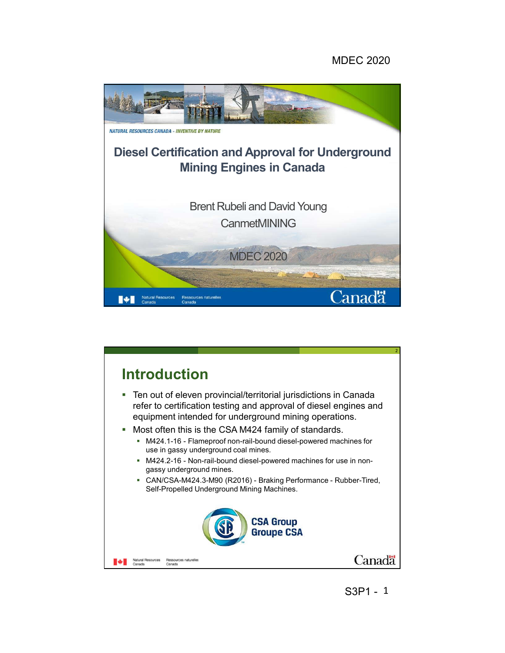## MDEC 2020





S3P1 - 1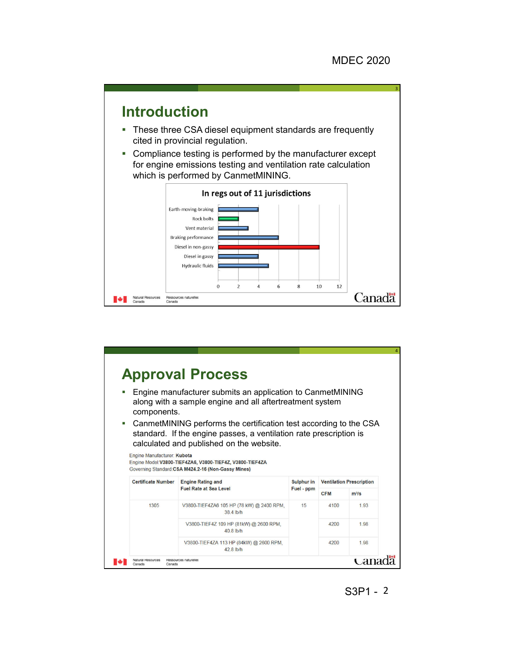

| components.                 | Engine manufacturer submits an application to CanmetMINING<br>along with a sample engine and all aftertreatment system                                                                                                                           |                   |            |                                 |
|-----------------------------|--------------------------------------------------------------------------------------------------------------------------------------------------------------------------------------------------------------------------------------------------|-------------------|------------|---------------------------------|
|                             |                                                                                                                                                                                                                                                  |                   |            |                                 |
| Engine Manufacturer: Kubota | CanmetMINING performs the certification test according to the CSA<br>standard. If the engine passes, a ventilation rate prescription is<br>calculated and published on the website.<br>Engine Model: V3800-TIEF4ZA6, V3800-TIEF4Z, V3800-TIEF4ZA |                   |            |                                 |
|                             | Governing Standard: CSA M424.2-16 (Non-Gassy Mines)                                                                                                                                                                                              |                   |            |                                 |
| <b>Certificate Number</b>   | <b>Engine Rating and</b>                                                                                                                                                                                                                         | <b>Sulphur in</b> |            | <b>Ventilation Prescription</b> |
|                             | <b>Fuel Rate at Sea Level</b>                                                                                                                                                                                                                    | Fuel - ppm        | <b>CFM</b> | $m^3/s$                         |
| 1305                        | V3800-TIEF4ZA6 105 HP (78 kW) @ 2400 RPM.<br>38.4 lb/h                                                                                                                                                                                           | 15                | 4100       | 1.93                            |
|                             | V3800-TIEF4Z 109 HP (81kW) @ 2600 RPM,<br>40.8 lb/h                                                                                                                                                                                              |                   | 4200       | 1.98                            |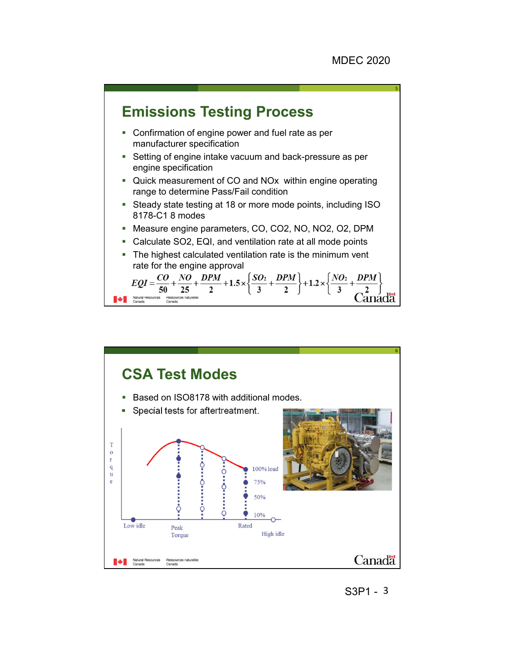

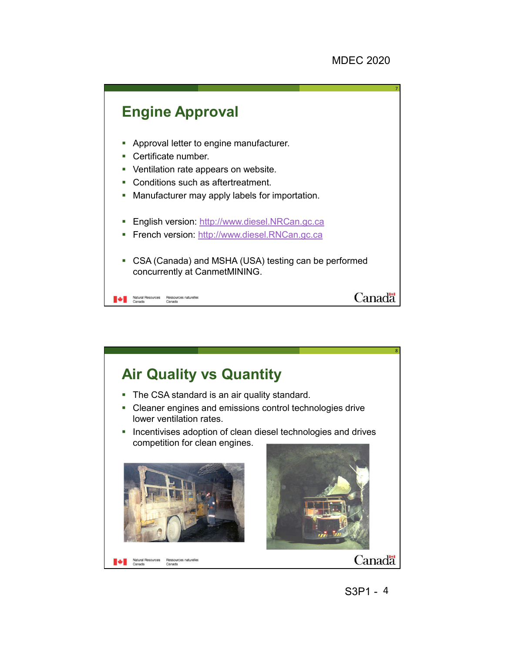

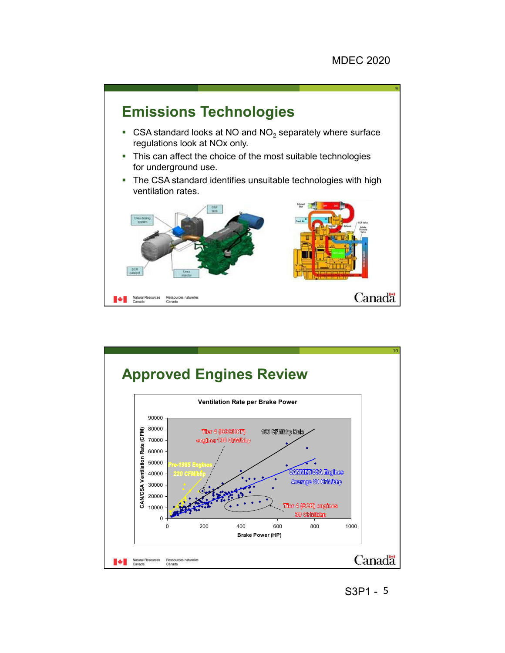

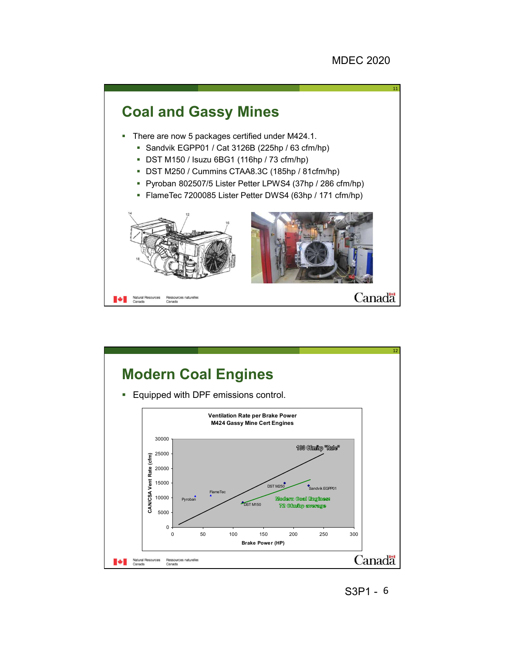

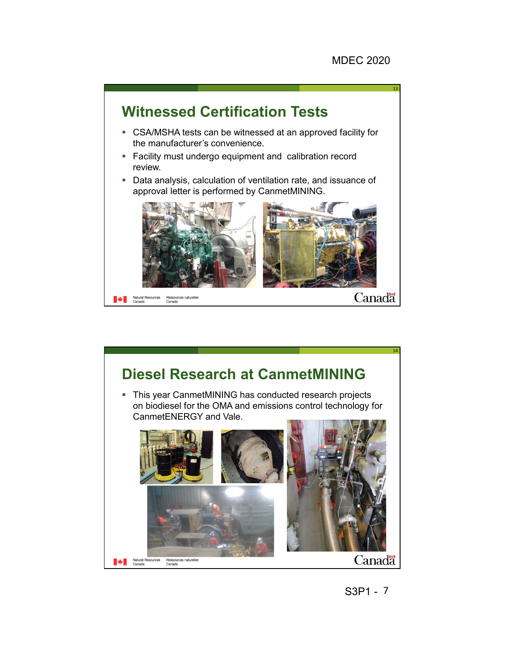